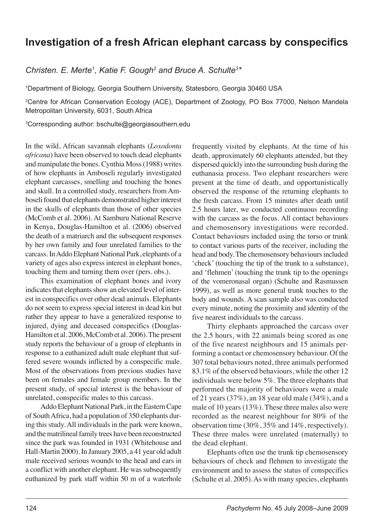## **Investigation of a fresh African elephant carcass by conspecifics**

*Christen. E. Merte<sup>1</sup>, Katie F. Gough<sup>2</sup> and Bruce A. Schulte<sup>3\*</sup>* 

1 Department of Biology, Georgia Southern University, Statesboro, Georgia 30460 USA

2 Centre for African Conservation Ecology (ACE), Department of Zoology, PO Box 77000, Nelson Mandela Metropolitan University, 6031, South Africa

3 Corresponding author: bschulte@georgiasouthern.edu

In the wild, African savannah elephants (*Loxodonta africana*) have been observed to touch dead elephants and manipulate the bones. Cynthia Moss (1988) writes of how elephants in Amboseli regularly investigated elephant carcasses, smelling and touching the bones and skull. In a controlled study, researchers from Amboseli found that elephants demonstrated higher interest in the skulls of elephants than those of other species (McComb et al. 2006). At Samburu National Reserve in Kenya, Douglas-Hamilton et al. (2006) observed the death of a matriarch and the subsequent responses by her own family and four unrelated families to the carcass. In Addo Elephant National Park, elephants of a variety of ages also express interest in elephant bones, touching them and turning them over (pers. obs.).

This examination of elephant bones and ivory indicates that elephants show an elevated level of interest in conspecifics over other dead animals. Elephants do not seem to express special interest in dead kin but rather they appear to have a generalized response to injured, dying and deceased conspecifics (Douglas-Hamilton et al. 2006, McComb et al. 2006). The present study reports the behaviour of a group of elephants in response to a euthanized adult male elephant that suffered severe wounds inflicted by a conspecific male. Most of the observations from previous studies have been on females and female group members. In the present study, of special interest is the behaviour of unrelated, conspecific males to this carcass.

Addo Elephant National Park, in the Eastern Cape of South Africa, had a population of 350 elephants during this study. All individuals in the park were known, and the matrilineal family trees have been reconstructed since the park was founded in 1931 (Whitehouse and Hall-Martin 2000). In January 2005, a 41 year old adult male received serious wounds to the head and ears in a conflict with another elephant. He was subsequently euthanized by park staff within 50 m of a waterhole

frequently visited by elephants. At the time of his death, approximately 60 elephants attended, but they dispersed quickly into the surrounding bush during the euthanasia process. Two elephant researchers were present at the time of death, and opportunistically observed the response of the returning elephants to the fresh carcass. From 15 minutes after death until 2.5 hours later, we conducted continuous recording with the carcass as the focus. All contact behaviours and chemosensory investigations were recorded. Contact behaviours included using the torso or trunk to contact various parts of the receiver, including the head and body. The chemosensory behaviours included 'check' (touching the tip of the trunk to a substance), and 'flehmen' (touching the trunk tip to the openings of the vomeronasal organ) (Schulte and Rasmussen 1999), as well as more general trunk touches to the body and wounds. A scan sample also was conducted every minute, noting the proximity and identity of the five nearest individuals to the carcass.

Thirty elephants approached the carcass over the 2.5 hours, with 22 animals being scored as one of the five nearest neighbours and 15 animals performing a contact or chemosensory behaviour. Of the 307 total behaviours noted, three animals performed 83.1% of the observed behaviours, while the other 12 individuals were below 5%. The three elephants that performed the majority of behaviours were a male of 21 years (37%), an 18 year old male (34%), and a male of 10 years (13%). These three males also were recorded as the nearest neighbour for 80% of the observation time (30%, 35% and 14%, respectively). These three males were unrelated (maternally) to the dead elephant.

Elephants often use the trunk tip chemosensory behaviours of check and flehmen to investigate the environment and to assess the status of conspecifics (Schulte et al. 2005). As with many species, elephants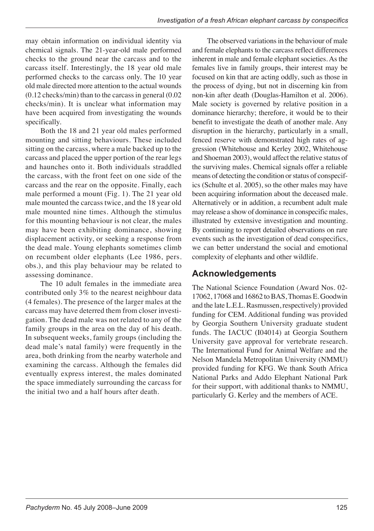may obtain information on individual identity via chemical signals. The 21-year-old male performed checks to the ground near the carcass and to the carcass itself. Interestingly, the 18 year old male performed checks to the carcass only. The 10 year old male directed more attention to the actual wounds (0.12 checks/min) than to the carcass in general (0.02 checks/min). It is unclear what information may have been acquired from investigating the wounds specifically.

Both the 18 and 21 year old males performed mounting and sitting behaviours. These included sitting on the carcass, where a male backed up to the carcass and placed the upper portion of the rear legs and haunches onto it. Both individuals straddled the carcass, with the front feet on one side of the carcass and the rear on the opposite. Finally, each male performed a mount (Fig. 1). The 21 year old male mounted the carcass twice, and the 18 year old male mounted nine times. Although the stimulus for this mounting behaviour is not clear, the males may have been exhibiting dominance, showing displacement activity, or seeking a response from the dead male. Young elephants sometimes climb on recumbent older elephants (Lee 1986, pers. obs.), and this play behaviour may be related to assessing dominance.

The 10 adult females in the immediate area contributed only 3% to the nearest neighbour data (4 females). The presence of the larger males at the carcass may have deterred them from closer investigation. The dead male was not related to any of the family groups in the area on the day of his death. In subsequent weeks, family groups (including the dead male's natal family) were frequently in the area, both drinking from the nearby waterhole and examining the carcass. Although the females did eventually express interest, the males dominated the space immediately surrounding the carcass for the initial two and a half hours after death.

The observed variations in the behaviour of male and female elephants to the carcass reflect differences inherent in male and female elephant societies. As the females live in family groups, their interest may be focused on kin that are acting oddly, such as those in the process of dying, but not in discerning kin from non-kin after death (Douglas-Hamilton et al. 2006). Male society is governed by relative position in a dominance hierarchy; therefore, it would be to their benefit to investigate the death of another male. Any disruption in the hierarchy, particularly in a small, fenced reserve with demonstrated high rates of aggression (Whitehouse and Kerley 2002, Whitehouse and Shoeman 2003), would affect the relative status of the surviving males. Chemical signals offer a reliable means of detecting the condition or status of conspecifics (Schulte et al. 2005), so the other males may have been acquiring information about the deceased male. Alternatively or in addition, a recumbent adult male may release a show of dominance in conspecific males, illustrated by extensive investigation and mounting. By continuing to report detailed observations on rare events such as the investigation of dead conspecifics, we can better understand the social and emotional complexity of elephants and other wildlife.

## **Acknowledgements**

The National Science Foundation (Award Nos. 02- 17062, 17068 and 16862 to BAS, Thomas E. Goodwin and the late L.E.L. Rasmussen, respectively) provided funding for CEM. Additional funding was provided by Georgia Southern University graduate student funds. The IACUC (I04014) at Georgia Southern University gave approval for vertebrate research. The International Fund for Animal Welfare and the Nelson Mandela Metropolitan University (NMMU) provided funding for KFG. We thank South Africa National Parks and Addo Elephant National Park for their support, with additional thanks to NMMU, particularly G. Kerley and the members of ACE.